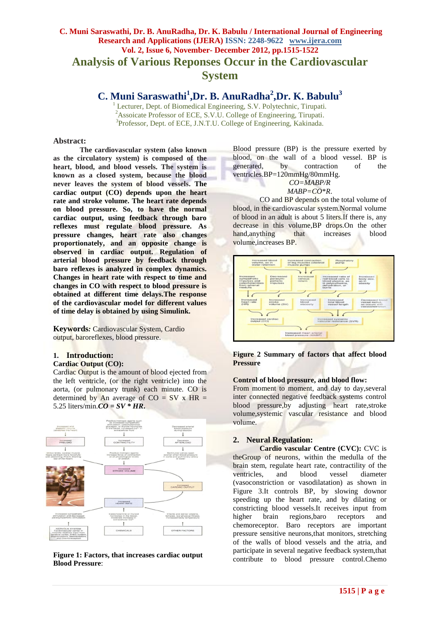# **C. Muni Saraswathi, Dr. B. AnuRadha, Dr. K. Babulu / International Journal of Engineering Research and Applications (IJERA) ISSN: 2248-9622 www.ijera.com Vol. 2, Issue 6, November- December 2012, pp.1515-1522 Analysis of Various Reponses Occur in the Cardiovascular System**

# **C. Muni Saraswathi<sup>1</sup> ,Dr. B. AnuRadha<sup>2</sup> ,Dr. K. Babulu<sup>3</sup>**

<sup>1</sup> Lecturer, Dept. of Biomedical Engineering, S.V. Polytechnic, Tirupati. <sup>2</sup>Assoicate Professor of ECE, S.V.U. College of Engineering, Tirupati. <sup>3</sup>Professor, Dept. of ECE, J.N.T.U. College of Engineering, Kakinada.

#### **Abstract:**

**The cardiovascular system (also known as the circulatory system) is composed of the heart, blood, and blood vessels. The system is known as a closed system, because the blood never leaves the system of blood vessels. The cardiac output (CO) depends upon the heart rate and stroke volume. The heart rate depends on blood pressure. So, to have the normal cardiac output, using feedback through baro reflexes must regulate blood pressure. As pressure changes, heart rate also changes proportionately, and an opposite change is observed in cardiac output. Regulation of arterial blood pressure by feedback through baro reflexes is analyzed in complex dynamics. Changes in heart rate with respect to time and changes in CO with respect to blood pressure is obtained at different time delays.The response of the cardiovascular model for different values of time delay is obtained by using Simulink.** 

**Keywords***:* Cardiovascular System, Cardio output, baroreflexes, blood pressure*.*

## **1. Introduction:**

#### **Cardiac Output (CO):**

Cardiac Output is the amount of blood ejected from the left ventricle, (or the right ventricle) into the aorta, (or pulmonary trunk) each minute. CO is determined by An average of  $CO = SV \times HR =$ 5.25 liters/min. $CO = SV * HR$ .



**Figure 1: Factors, that increases cardiac output Blood Pressure**:

Blood pressure (BP) is the pressure exerted by blood, on the wall of a blood vessel. BP is generated, by contraction of the ventricles.BP=120mmHg/80mmHg.

#### *CO=MABP/R*  $MABP=CO*R$ .

CO and BP depends on the total volume of blood, in the cardiovascular system.Normal volume of blood in an adult is about 5 liters.If there is, any decrease in this volume,BP drops.On the other hand, anything that increases blood volume,increases BP.



**Figure 2 Summary of factors that affect blood Pressure**

#### **Control of blood pressure, and blood flow:**

From moment to moment, and day to day,several inter connected negative feedback systems control blood pressure,by adjusting heart rate,stroke volume,systemic vascular resistance and blood volume.

## **2. Neural Regulation:**

**Cardio vascular Centre (CVC):** CVC is theGroup of neurons, within the medulla of the brain stem, regulate heart rate, contractility of the ventricles, and blood vessel diameter (vasoconstriction or vasodilatation) as shown in Figure 3.It controls BP, by slowing downor speeding up the heart rate, and by dilating or constricting blood vessels.It receives input from higher brain regions,baro receptors and chemoreceptor. Baro receptors are important pressure sensitive neurons,that monitors, stretching of the walls of blood vessels and the atria, and participate in several negative feedback system,that contribute to blood pressure control.Chemo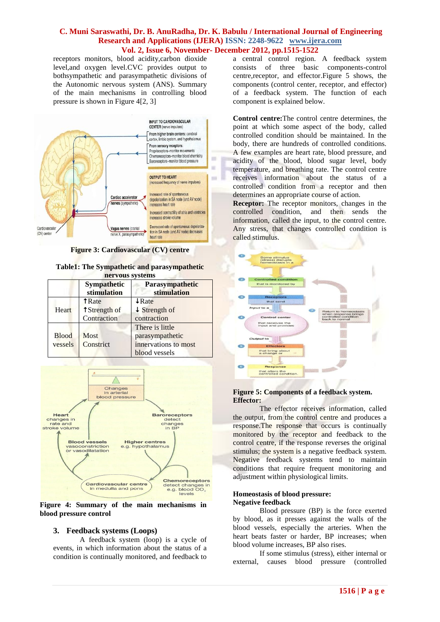receptors monitors, blood acidity,carbon dioxide level,and oxygen level.CVC provides output to bothsympathetic and parasympathetic divisions of the Autonomic nervous system (ANS). Summary of the main mechanisms in controlling blood pressure is shown in Figure 4[2, 3]



**Figure 3: Cardiovascular (CV) centre**

#### **Table1: The Sympathetic and parasympathetic nervous systems**

|                         | <b>Sympathetic</b><br>stimulation                   | <b>Parasympathetic</b><br>stimulation                                       |
|-------------------------|-----------------------------------------------------|-----------------------------------------------------------------------------|
| Heart                   | <b>TRate</b><br><b>t</b> Strength of<br>Contraction | $\downarrow$ Rate<br>$\downarrow$ Strength of<br>contraction                |
| <b>Blood</b><br>vessels | <b>Most</b><br>Constrict                            | There is little<br>parasympathetic<br>innervations to most<br>blood vessels |



**Figure 4: Summary of the main mechanisms in blood pressure control**

## **3. Feedback systems (Loops)**

A feedback system (loop) is a cycle of events, in which information about the status of a condition is continually monitored, and feedback to

a central control region. A feedback system consists of three basic components-control centre,receptor, and effector.Figure 5 shows, the components (control center, receptor, and effector) of a feedback system. The function of each component is explained below.

**Control centre:**The control centre determines, the point at which some aspect of the body, called controlled condition should be maintained. In the body, there are hundreds of controlled conditions. A few examples are heart rate, blood pressure, and acidity of the blood, blood sugar level, body temperature, and breathing rate. The control centre receives information about the status of a controlled condition from a receptor and then determines an appropriate course of action.

**Receptor:** The receptor monitors, changes in the controlled condition, and then sends the information, called the input, to the control centre. Any stress, that changes controlled condition is called stimulus.



#### **Figure 5: Components of a feedback system. Effector:**

The effector receives information, called the output, from the control centre and produces a response.The response that occurs is continually monitored by the receptor and feedback to the control centre, if the response reverses the original stimulus; the system is a negative feedback system. Negative feedback systems tend to maintain conditions that require frequent monitoring and adjustment within physiological limits.

#### **Homeostasis of blood pressure: Negative feedback**

Blood pressure (BP) is the force exerted by blood, as it presses against the walls of the blood vessels, especially the arteries. When the heart beats faster or harder, BP increases; when blood volume increases, BP also rises.

If some stimulus (stress), either internal or external, causes blood pressure (controlled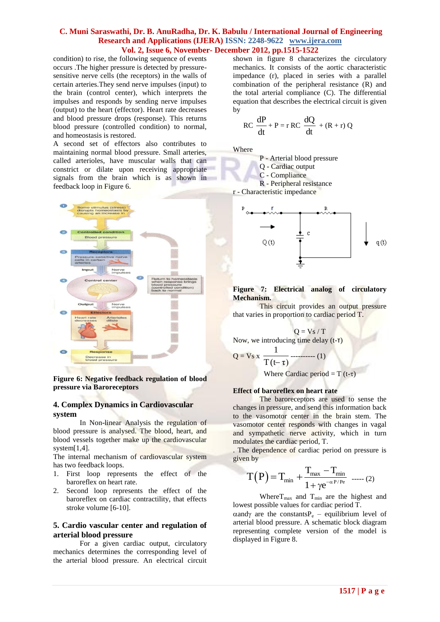condition) to rise, the following sequence of events occurs .The higher pressure is detected by pressuresensitive nerve cells (the receptors) in the walls of certain arteries.They send nerve impulses (input) to the brain (control center), which interprets the impulses and responds by sending nerve impulses (output) to the heart (effector). Heart rate decreases and blood pressure drops (response). This returns blood pressure (controlled condition) to normal, and homeostasis is restored.

A second set of effectors also contributes to maintaining normal blood pressure. Small arteries, called arterioles, have muscular walls that can constrict or dilate upon receiving appropriate signals from the brain which is as shown in feedback loop in Figure 6.



**Figure 6: Negative feedback regulation of blood pressure via Baroreceptors**

#### **4. Complex Dynamics in Cardiovascular system**

In Non-linear Analysis the regulation of blood pressure is analysed. The blood, heart, and blood vessels together make up the cardiovascular system[1,4].

The internal mechanism of cardiovascular system has two feedback loops.

- 1. First loop represents the effect of the baroreflex on heart rate.
- 2. Second loop represents the effect of the baroreflex on cardiac contractility, that effects stroke volume [6-10].

## **5. Cardio vascular center and regulation of arterial blood pressure**

For a given cardiac output, circulatory mechanics determines the corresponding level of the arterial blood pressure. An electrical circuit shown in figure 8 characterizes the circulatory mechanics. It consists of the aortic characteristic impedance (r), placed in series with a parallel combination of the peripheral resistance (R) and the total arterial compliance (C). The differential equation that describes the electrical circuit is given by

$$
RC \frac{dP}{dt} + P = r RC \frac{dQ}{dt} + (R + r) Q
$$

Where

P - Arterial blood pressure Q - Cardiac output C - Compliance R - Peripheral resistance r - Characteristic impedance



**Figure 7: Electrical analog of circulatory Mechanism.**

This circuit provides an output pressure that varies in proportion to cardiac period T.

$$
Q = Vs / T
$$

Now, we introducing time delay (t-τ)

$$
Q = Vs x \frac{1}{T(t-\tau)}
$$
........(1)

Where Cardiac period =  $T(t-\tau)$ 

#### **Effect of baroreflex on heart rate**

The baroreceptors are used to sense the changes in pressure, and send this information back to the vasomotor center in the brain stem. The vasomotor center responds with changes in vagal and sympathetic nerve activity, which in turn modulates the cardiac period, T.

. The dependence of cardiac period on pressure is given by

$$
T\big(P\big)\!=\!T_{min}+\!\frac{T_{max}-T_{min}}{1+\gamma e^{-\alpha P/P e}}\;\;.....\; (2)
$$

Where  $T_{\text{max}}$  and  $T_{\text{min}}$  are the highest and lowest possible values for cardiac period T.  $\alpha$ andy are the constantsP<sub>e</sub> – equilibrium level of arterial blood pressure. A schematic block diagram representing complete version of the model is displayed in Figure 8.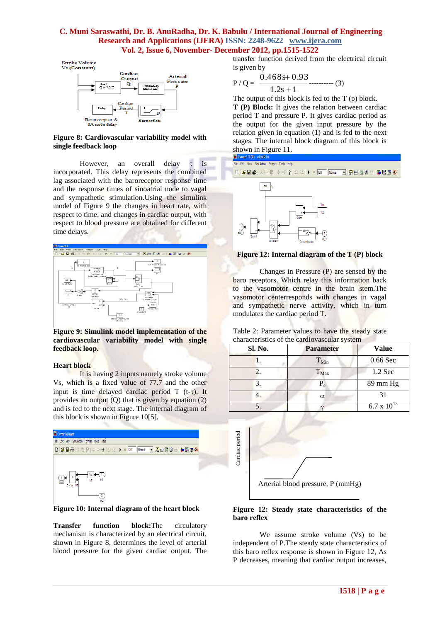Stroke Volume Vs (Constant)



**Figure 8: Cardiovascular variability model with single feedback loop**

However, an overall delay  $\tau$  is incorporated. This delay represents the combined lag associated with the baroreceptor response time and the response times of sinoatrial node to vagal and sympathetic stimulation.Using the simulink model of Figure 9 the changes in heart rate, with respect to time, and changes in cardiac output, with respect to blood pressure are obtained for different time delays.



**Figure 9: Simulink model implementation of the cardiovascular variability model with single feedback loop.**

#### **Heart block**

It is having 2 inputs namely stroke volume Vs, which is a fixed value of 77.7 and the other input is time delayed cardiac period  $T$  (t- $\tau$ ). It provides an output  $(Q)$  that is given by equation  $(2)$ and is fed to the next stage. The internal diagram of this block is shown in Figure 10[5].



**Figure 10: Internal diagram of the heart block**

**Transfer function block:**The circulatory mechanism is characterized by an electrical circuit, shown in Figure 8, determines the level of arterial blood pressure for the given cardiac output. The

transfer function derived from the electrical circuit is given by

$$
P/Q = \frac{0.468s + 0.93}{1.2s + 1}
$$
 (3)

The output of this block is fed to the T (p) block.

**T (P) Block:** It gives the relation between cardiac period T and pressure P. It gives cardiac period as the output for the given input pressure by the relation given in equation (1) and is fed to the next stages. The internal block diagram of this block is shown in Figure 11.



## **Figure 12: Internal diagram of the T (P) block**

Changes in Pressure (P) are sensed by the baro receptors. Which relay this information back to the vasomotor centre in the brain stem.The vasomotor centerresponds with changes in vagal and sympathetic nerve activity, which in turn modulates the cardiac period T.

Table 2: Parameter values to have the steady state characteristics of the cardiovascular system

| Sl. No. | <b>Parameter</b> | <b>Value</b>       |
|---------|------------------|--------------------|
|         | $T_{Min}$        | 0.66 Sec           |
|         | $T_{\rm Max}$    | 1.2 Sec            |
|         | $P_e$            | $89 \text{ mm Hg}$ |
|         | α                | 31                 |
|         |                  | 6.7 x 10           |



#### **Figure 12: Steady state characteristics of the baro reflex**

We assume stroke volume (Vs) to be independent of P.The steady state characteristics of this baro reflex response is shown in Figure 12, As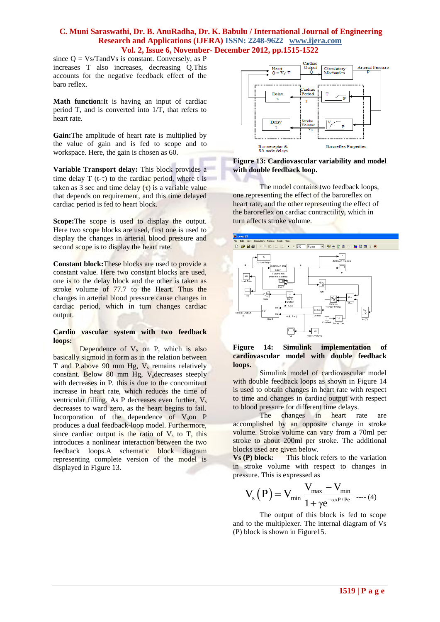since  $Q = Vs/T$  and Vs is constant. Conversely, as P increases T also increases, decreasing Q.This accounts for the negative feedback effect of the baro reflex.

**Math function:**It is having an input of cardiac period T, and is converted into 1/T, that refers to heart rate.

**Gain:**The amplitude of heart rate is multiplied by the value of gain and is fed to scope and to workspace. Here, the gain is chosen as 60.

**Variable Transport delay:** This block provides a time delay  $T(t-\tau)$  to the cardiac period, where t is taken as 3 sec and time delay  $(\tau)$  is a variable value that depends on requirement, and this time delayed cardiac period is fed to heart block.

**Scope:**The scope is used to display the output. Here two scope blocks are used, first one is used to display the changes in arterial blood pressure and second scope is to display the heart rate.

**Constant block:**These blocks are used to provide a constant value. Here two constant blocks are used, one is to the delay block and the other is taken as stroke volume of 77.7 to the Heart. Thus the changes in arterial blood pressure cause changes in cardiac period, which in turn changes cardiac output.

#### **Cardio vascular system with two feedback loops:**

Dependence of  $V<sub>S</sub>$  on P, which is also basically sigmoid in form as in the relation between T and P.above 90 mm Hg,  $V_s$  remains relatively constant. Below 80 mm Hg,  $V<sub>s</sub>$  decreases steeply with decreases in P*.* this is due to the concomitant increase in heart rate, which reduces the time of ventricular filling. As P decreases even further,  $V_s$ decreases to ward zero, as the heart begins to fail. Incorporation of the dependence of  $V<sub>s</sub>$  on P produces a dual feedback-loop model. Furthermore, since cardiac output is the ratio of  $V<sub>s</sub>$  to T, this introduces a nonlinear interaction between the two feedback loops.A schematic block diagram representing complete version of the model is displayed in Figure 13.



#### **Figure 13: Cardiovascular variability and model with double feedback loop.**

The model contains two feedback loops, one representing the effect of the baroreflex on heart rate, and the other representing the effect of the baroreflex on cardiac contractility, which in turn affects stroke volume.



#### **Figure 14: Simulink implementation of cardiovascular model with double feedback loops.**

Simulink model of cardiovascular model with double feedback loops as shown in Figure 14 is used to obtain changes in heart rate with respect to time and changes in cardiac output with respect to blood pressure for different time delays.

The changes in heart rate are accomplished by an opposite change in stroke volume. Stroke volume can vary from a 70ml per stroke to about 200ml per stroke. The additional blocks used are given below.

**Vs (P) block:** This block refers to the variation in stroke volume with respect to changes in pressure. This is expressed as

$$
V_{_S}\left(P\right)\!=\!V_{min}\frac{V_{max}-V_{min}}{1+\gamma e^{-\alpha x P/Pe}}\;\,...\,\,\scriptscriptstyle{(4)}
$$

The output of this block is fed to scope and to the multiplexer. The internal diagram of Vs (P) block is shown in Figure15.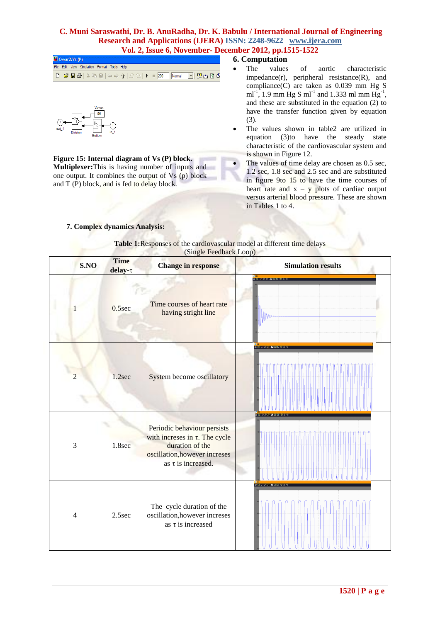|  | $\Box$ Cvvar 2/Vs (P) |                                             |  |  |  |
|--|-----------------------|---------------------------------------------|--|--|--|
|  |                       | File Edit View Simulation Format Tools Help |  |  |  |
|  |                       |                                             |  |  |  |



**Figure 15: Internal diagram of Vs (P) block. Multiplexer:**This is having number of inputs and one output. It combines the output of  $Vs$  (p) block and T (P) block, and is fed to delay block.

## **6. Computation**

- The values of aortic characteristic  $impedance(r)$ , peripheral resistance $(R)$ , and compliance(C) are taken as 0.039 mm Hg S ml<sup>-1</sup>, 1.9 mm Hg S ml<sup>-1</sup> and 1.333 ml mm Hg<sup>-1</sup>, and these are substituted in the equation (2) to have the transfer function given by equation (3).
- The values shown in table2 are utilized in equation (3)to have the steady state characteristic of the cardiovascular system and is shown in Figure 12.
- The values of time delay are chosen as 0.5 sec, 1.2 sec, 1.8 sec and 2.5 sec and are substituted in figure 9to 15 to have the time courses of heart rate and  $x - y$  plots of cardiac output versus arterial blood pressure. These are shown in Tables 1 to 4.

## **7. Complex dynamics Analysis:**

#### **Table 1:**Responses of the cardiovascular model at different time delays (Single Feedback Loop)

| S.NO           | <b>Time</b><br>delay- $\tau$ | <b>Change in response</b>                                                                                                                         | <b>Simulation results</b> |
|----------------|------------------------------|---------------------------------------------------------------------------------------------------------------------------------------------------|---------------------------|
|                | $0.5$ sec                    | Time courses of heart rate<br>having stright line                                                                                                 | <b>SONABES</b><br>Mm      |
| $\overline{2}$ | 1.2sec                       | System become oscillatory                                                                                                                         | <b>BB BBA QQQ BB</b>      |
| $\mathfrak{Z}$ | 1.8sec                       | Periodic behaviour persists<br>with increses in $\tau$ . The cycle<br>duration of the<br>oscillation, however increses<br>as $\tau$ is increased. | <b>BERRARDE</b>           |
| $\overline{4}$ | 2.5sec                       | The cycle duration of the<br>oscillation, however increses<br>as $\tau$ is increased                                                              | <b>BE PPP ABB BB</b>      |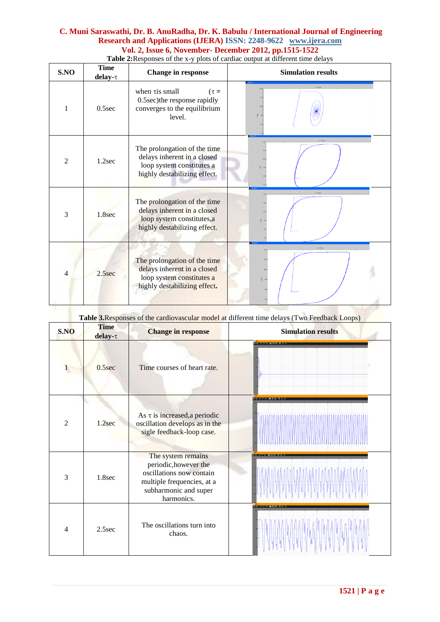| S.NO           | <b>Time</b><br>$delay-\tau$ | <b>Change in response</b>                                                                                                | <b>Simulation results</b> |  |  |
|----------------|-----------------------------|--------------------------------------------------------------------------------------------------------------------------|---------------------------|--|--|
| 1              | $0.5$ sec                   | when $\tau$ is small<br>$(\tau =$<br>0.5sec)the response rapidly<br>converges to the equilibrium<br>level.               |                           |  |  |
| $\overline{2}$ | 1.2sec                      | The prolongation of the time<br>delays inherent in a closed<br>loop system constitutes a<br>highly destabilizing effect. |                           |  |  |
| 3              | 1.8sec                      | The prolongation of the time<br>delays inherent in a closed<br>loop system constitutes,a<br>highly destabilizing effect. |                           |  |  |
| $\overline{4}$ | 2.5sec                      | The prolongation of the time<br>delays inherent in a closed<br>loop system constitutes a<br>highly destabilizing effect. | $\times$ Y Plut           |  |  |
|                |                             |                                                                                                                          |                           |  |  |

**Table 2:**Responses of the x-y plots of cardiac output at different time delays

| S.NO           | <b>Time</b><br>delay- $\tau$ | <b>Change in response</b>                                                                                                                    | Table 3. Responses of the cardiovascular model at different time delays (Two Feedback Loops)<br><b>Simulation results</b> |
|----------------|------------------------------|----------------------------------------------------------------------------------------------------------------------------------------------|---------------------------------------------------------------------------------------------------------------------------|
| $\mathbf{1}$   | 0.5sec                       | Time courses of heart rate.                                                                                                                  | <b>SOUTH AND ALCOHOL</b>                                                                                                  |
| 2              | 1.2sec                       | As $\tau$ is increased, a periodic<br>oscillation develops as in the<br>sigle feedback-loop case.                                            | <b>SHIPP ARE OF</b>                                                                                                       |
| 3              | 1.8sec                       | The system remains<br>periodic, however the<br>oscillations now contain<br>multiple frequencies, at a<br>subharmonic and super<br>harmonics. | <b>BELGER ALAM DE BELGER</b>                                                                                              |
| $\overline{4}$ | 2.5sec                       | The oscillations turn into<br>chaos.                                                                                                         | <b>FREE CREATING IN THE REAL</b>                                                                                          |